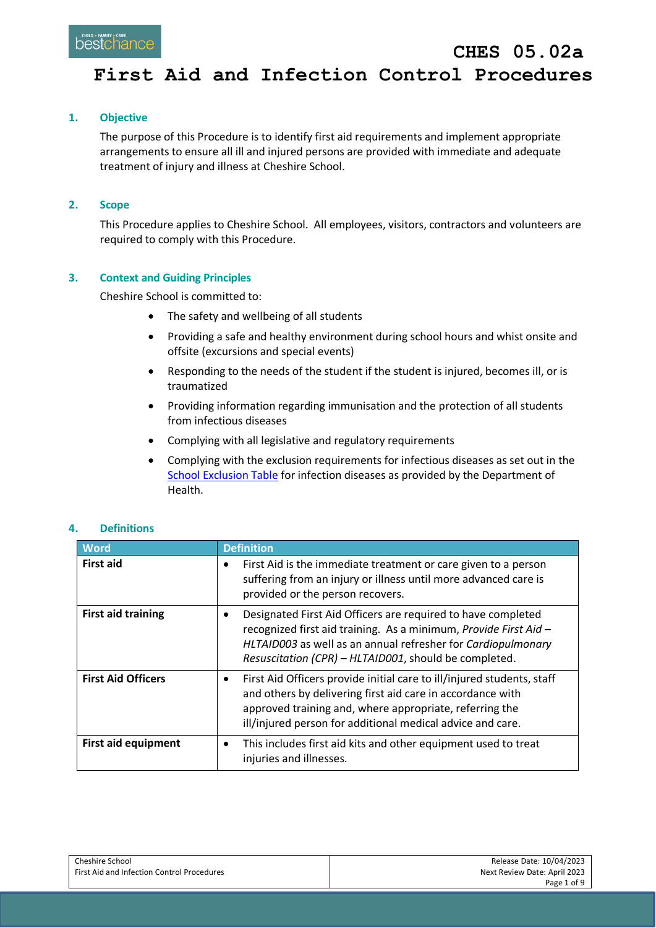### **1. Objective**

The purpose of this Procedure is to identify first aid requirements and implement appropriate arrangements to ensure all ill and injured persons are provided with immediate and adequate treatment of injury and illness at Cheshire School.

### **2. Scope**

This Procedure applies to Cheshire School. All employees, visitors, contractors and volunteers are required to comply with this Procedure.

### **3. Context and Guiding Principles**

Cheshire School is committed to:

- The safety and wellbeing of all students
- Providing a safe and healthy environment during school hours and whist onsite and offsite (excursions and special events)
- Responding to the needs of the student if the student is injured, becomes ill, or is traumatized
- Providing information regarding immunisation and the protection of all students from infectious diseases
- Complying with all legislative and regulatory requirements
- Complying with the exclusion requirements for infectious diseases as set out in the [School Exclusion Table](https://www.health.vic.gov.au/infectious-diseases/school-exclusion-table) for infection diseases as provided by the Department of Health.

| <b>Word</b>               | <b>Definition</b>                                                                                                                                                                                                                                                          |
|---------------------------|----------------------------------------------------------------------------------------------------------------------------------------------------------------------------------------------------------------------------------------------------------------------------|
| <b>First aid</b>          | First Aid is the immediate treatment or care given to a person<br>suffering from an injury or illness until more advanced care is<br>provided or the person recovers.                                                                                                      |
| <b>First aid training</b> | Designated First Aid Officers are required to have completed<br>$\bullet$<br>recognized first aid training. As a minimum, Provide First Aid -<br>HLTAID003 as well as an annual refresher for Cardiopulmonary<br>Resuscitation (CPR) - HLTAID001, should be completed.     |
| <b>First Aid Officers</b> | First Aid Officers provide initial care to ill/injured students, staff<br>$\bullet$<br>and others by delivering first aid care in accordance with<br>approved training and, where appropriate, referring the<br>ill/injured person for additional medical advice and care. |
| First aid equipment       | This includes first aid kits and other equipment used to treat<br>injuries and illnesses.                                                                                                                                                                                  |

### **4. Definitions**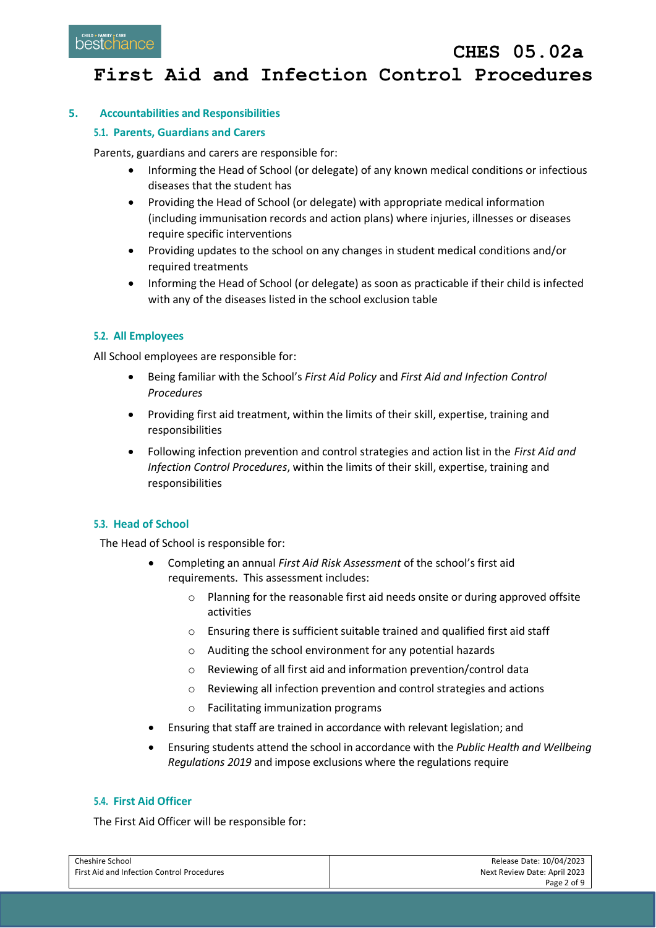### **5. Accountabilities and Responsibilities**

### **5.1. Parents, Guardians and Carers**

Parents, guardians and carers are responsible for:

- Informing the Head of School (or delegate) of any known medical conditions or infectious diseases that the student has
- Providing the Head of School (or delegate) with appropriate medical information (including immunisation records and action plans) where injuries, illnesses or diseases require specific interventions
- Providing updates to the school on any changes in student medical conditions and/or required treatments
- Informing the Head of School (or delegate) as soon as practicable if their child is infected with any of the diseases listed in the school exclusion table

### **5.2. All Employees**

All School employees are responsible for:

- Being familiar with the School's *First Aid Policy* and *First Aid and Infection Control Procedures*
- Providing first aid treatment, within the limits of their skill, expertise, training and responsibilities
- Following infection prevention and control strategies and action list in the *First Aid and Infection Control Procedures*, within the limits of their skill, expertise, training and responsibilities

### **5.3. Head of School**

The Head of School is responsible for:

- Completing an annual *First Aid Risk Assessment* of the school's first aid requirements. This assessment includes:
	- o Planning for the reasonable first aid needs onsite or during approved offsite activities
	- o Ensuring there is sufficient suitable trained and qualified first aid staff
	- o Auditing the school environment for any potential hazards
	- o Reviewing of all first aid and information prevention/control data
	- o Reviewing all infection prevention and control strategies and actions
	- o Facilitating immunization programs
- Ensuring that staff are trained in accordance with relevant legislation; and
- Ensuring students attend the school in accordance with the *Public Health and Wellbeing Regulations 2019* and impose exclusions where the regulations require

#### **5.4. First Aid Officer**

The First Aid Officer will be responsible for:

| Cheshire School                            | Release Date: 10/04/2023     |
|--------------------------------------------|------------------------------|
| First Aid and Infection Control Procedures | Next Review Date: April 2023 |
|                                            | Page 2 of 9                  |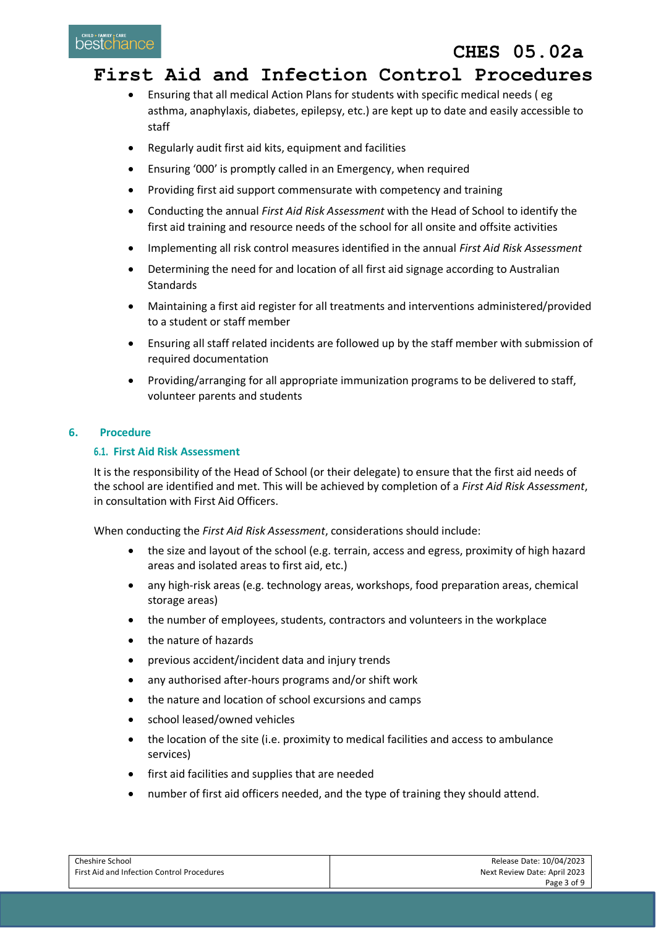# **CHES 05.02a**

## **First Aid and Infection Control Procedures**

- Ensuring that all medical Action Plans for students with specific medical needs ( eg asthma, anaphylaxis, diabetes, epilepsy, etc.) are kept up to date and easily accessible to staff
- Regularly audit first aid kits, equipment and facilities
- Ensuring '000' is promptly called in an Emergency, when required
- Providing first aid support commensurate with competency and training
- Conducting the annual *First Aid Risk Assessment* with the Head of School to identify the first aid training and resource needs of the school for all onsite and offsite activities
- Implementing all risk control measures identified in the annual *First Aid Risk Assessment*
- Determining the need for and location of all first aid signage according to Australian Standards
- Maintaining a first aid register for all treatments and interventions administered/provided to a student or staff member
- Ensuring all staff related incidents are followed up by the staff member with submission of required documentation
- Providing/arranging for all appropriate immunization programs to be delivered to staff, volunteer parents and students

### **6. Procedure**

### **6.1. First Aid Risk Assessment**

It is the responsibility of the Head of School (or their delegate) to ensure that the first aid needs of the school are identified and met. This will be achieved by completion of a *First Aid Risk Assessment*, in consultation with First Aid Officers.

When conducting the *First Aid Risk Assessment*, considerations should include:

- the size and layout of the school (e.g. terrain, access and egress, proximity of high hazard areas and isolated areas to first aid, etc.)
- any high-risk areas (e.g. technology areas, workshops, food preparation areas, chemical storage areas)
- the number of employees, students, contractors and volunteers in the workplace
- the nature of hazards
- previous accident/incident data and injury trends
- any authorised after-hours programs and/or shift work
- the nature and location of school excursions and camps
- school leased/owned vehicles
- the location of the site (i.e. proximity to medical facilities and access to ambulance services)
- first aid facilities and supplies that are needed
- number of first aid officers needed, and the type of training they should attend.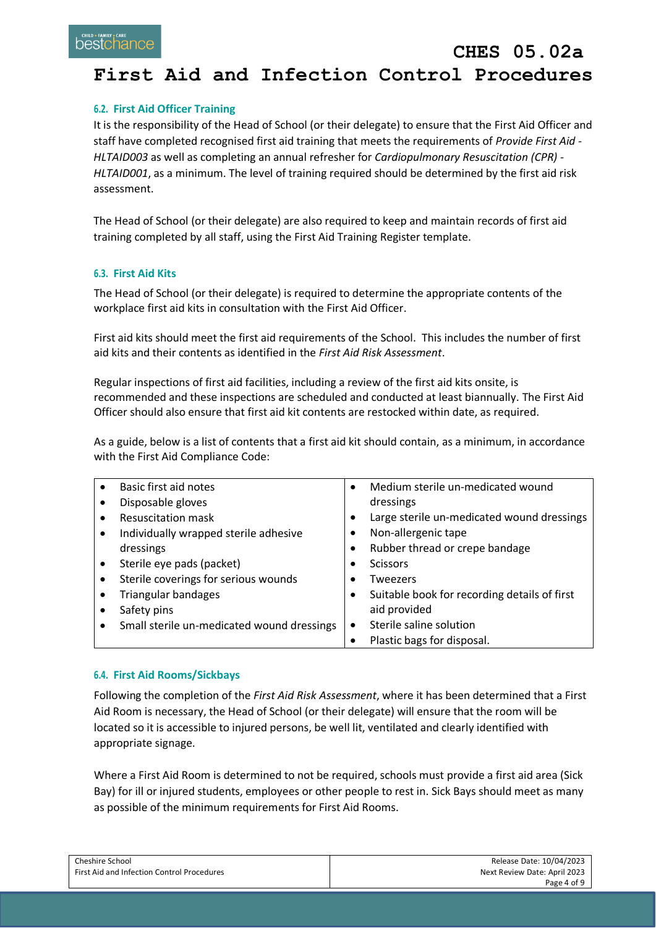### **6.2. First Aid Officer Training**

It is the responsibility of the Head of School (or their delegate) to ensure that the First Aid Officer and staff have completed recognised first aid training that meets the requirements of *Provide First Aid - HLTAID003* as well as completing an annual refresher for *Cardiopulmonary Resuscitation (CPR) - HLTAID001*, as a minimum. The level of training required should be determined by the first aid risk assessment.

The Head of School (or their delegate) are also required to keep and maintain records of first aid training completed by all staff, using the First Aid Training Register template.

### **6.3. First Aid Kits**

The Head of School (or their delegate) is required to determine the appropriate contents of the workplace first aid kits in consultation with the First Aid Officer.

First aid kits should meet the first aid requirements of the School. This includes the number of first aid kits and their contents as identified in the *First Aid Risk Assessment*.

Regular inspections of first aid facilities, including a review of the first aid kits onsite, is recommended and these inspections are scheduled and conducted at least biannually. The First Aid Officer should also ensure that first aid kit contents are restocked within date, as required.

As a guide, below is a list of contents that a first aid kit should contain, as a minimum, in accordance with the First Aid Compliance Code:

| Basic first aid notes                      | $\bullet$ | Medium sterile un-medicated wound            |
|--------------------------------------------|-----------|----------------------------------------------|
| Disposable gloves                          |           | dressings                                    |
| <b>Resuscitation mask</b>                  | ٠         | Large sterile un-medicated wound dressings   |
| Individually wrapped sterile adhesive      |           | Non-allergenic tape                          |
| dressings                                  |           | Rubber thread or crepe bandage               |
| Sterile eye pads (packet)                  |           | <b>Scissors</b>                              |
| Sterile coverings for serious wounds       |           | Tweezers                                     |
| <b>Triangular bandages</b>                 |           | Suitable book for recording details of first |
| Safety pins                                |           | aid provided                                 |
| Small sterile un-medicated wound dressings |           | Sterile saline solution                      |
|                                            |           | Plastic bags for disposal.                   |

#### **6.4. First Aid Rooms/Sickbays**

Following the completion of the *First Aid Risk Assessment*, where it has been determined that a First Aid Room is necessary, the Head of School (or their delegate) will ensure that the room will be located so it is accessible to injured persons, be well lit, ventilated and clearly identified with appropriate signage.

Where a First Aid Room is determined to not be required, schools must provide a first aid area (Sick Bay) for ill or injured students, employees or other people to rest in. Sick Bays should meet as many as possible of the minimum requirements for First Aid Rooms.

| <b>Cheshire School</b>                     | Release Date: 10/04/2023     |
|--------------------------------------------|------------------------------|
| First Aid and Infection Control Procedures | Next Review Date: April 2023 |
|                                            | Page 4 of 9                  |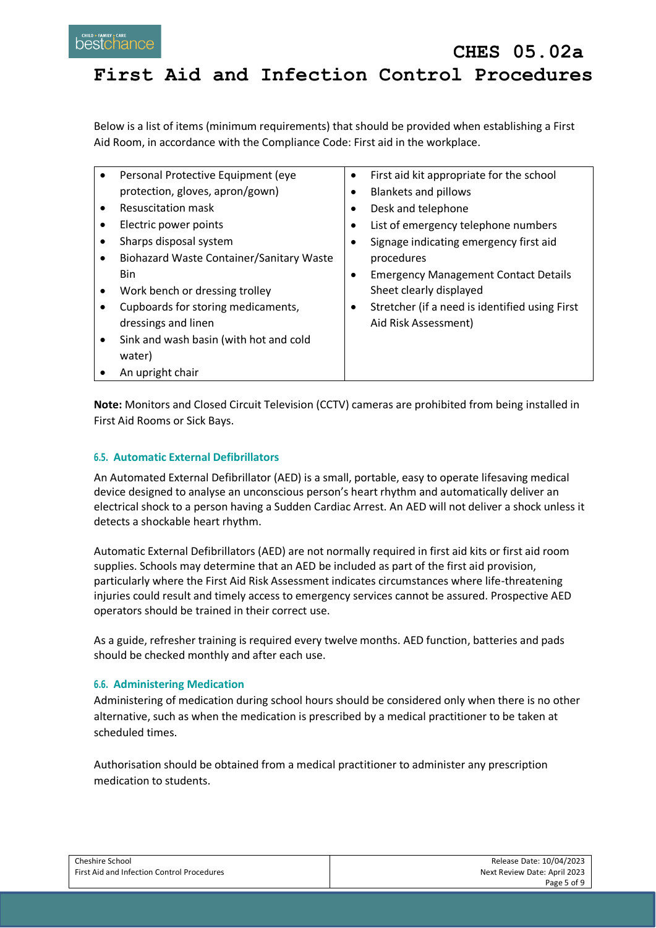Below is a list of items (minimum requirements) that should be provided when establishing a First Aid Room, in accordance with the Compliance Code: First aid in the workplace.

|   | Personal Protective Equipment (eye       | ٠ | First aid kit appropriate for the school       |
|---|------------------------------------------|---|------------------------------------------------|
|   | protection, gloves, apron/gown)          |   | <b>Blankets and pillows</b>                    |
|   | Resuscitation mask                       |   | Desk and telephone                             |
|   | Electric power points                    |   | List of emergency telephone numbers            |
|   | Sharps disposal system                   |   | Signage indicating emergency first aid         |
|   | Biohazard Waste Container/Sanitary Waste |   | procedures                                     |
|   | <b>Bin</b>                               |   | <b>Emergency Management Contact Details</b>    |
|   | Work bench or dressing trolley           |   | Sheet clearly displayed                        |
|   | Cupboards for storing medicaments,       |   | Stretcher (if a need is identified using First |
|   | dressings and linen                      |   | Aid Risk Assessment)                           |
| ٠ | Sink and wash basin (with hot and cold   |   |                                                |
|   | water)                                   |   |                                                |
|   | An upright chair                         |   |                                                |

**Note:** Monitors and Closed Circuit Television (CCTV) cameras are prohibited from being installed in First Aid Rooms or Sick Bays.

### **6.5. Automatic External Defibrillators**

An Automated External Defibrillator (AED) is a small, portable, easy to operate lifesaving medical device designed to analyse an unconscious person's heart rhythm and automatically deliver an electrical shock to a person having a Sudden Cardiac Arrest. An AED will not deliver a shock unless it detects a shockable heart rhythm.

Automatic External Defibrillators (AED) are not normally required in first aid kits or first aid room supplies. Schools may determine that an AED be included as part of the first aid provision, particularly where the First Aid Risk Assessment indicates circumstances where life-threatening injuries could result and timely access to emergency services cannot be assured. Prospective AED operators should be trained in their correct use.

As a guide, refresher training is required every twelve months. AED function, batteries and pads should be checked monthly and after each use.

### **6.6. Administering Medication**

Administering of medication during school hours should be considered only when there is no other alternative, such as when the medication is prescribed by a medical practitioner to be taken at scheduled times.

Authorisation should be obtained from a medical practitioner to administer any prescription medication to students.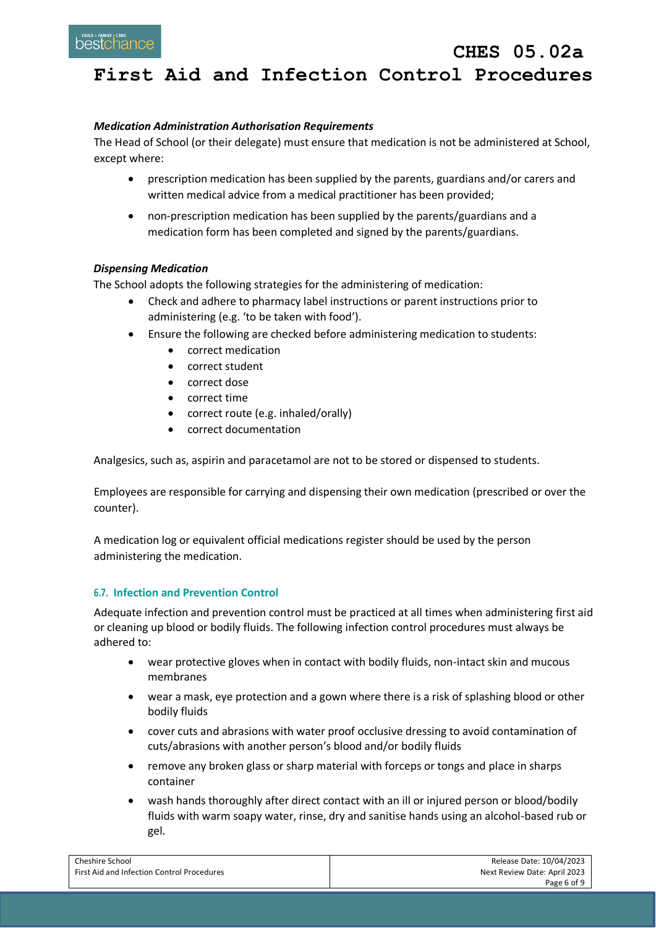### *Medication Administration Authorisation Requirements*

The Head of School (or their delegate) must ensure that medication is not be administered at School, except where:

- prescription medication has been supplied by the parents, guardians and/or carers and written medical advice from a medical practitioner has been provided;
- non-prescription medication has been supplied by the parents/guardians and a medication form has been completed and signed by the parents/guardians.

### *Dispensing Medication*

The School adopts the following strategies for the administering of medication:

- Check and adhere to pharmacy label instructions or parent instructions prior to administering (e.g. 'to be taken with food').
- Ensure the following are checked before administering medication to students:
	- correct medication
	- correct student
	- correct dose
	- correct time
	- correct route (e.g. inhaled/orally)
	- correct documentation

Analgesics, such as, aspirin and paracetamol are not to be stored or dispensed to students.

Employees are responsible for carrying and dispensing their own medication (prescribed or over the counter).

A medication log or equivalent official medications register should be used by the person administering the medication.

### **6.7. Infection and Prevention Control**

Adequate infection and prevention control must be practiced at all times when administering first aid or cleaning up blood or bodily fluids. The following infection control procedures must always be adhered to:

- wear protective gloves when in contact with bodily fluids, non-intact skin and mucous membranes
- wear a mask, eye protection and a gown where there is a risk of splashing blood or other bodily fluids
- cover cuts and abrasions with water proof occlusive dressing to avoid contamination of cuts/abrasions with another person's blood and/or bodily fluids
- remove any broken glass or sharp material with forceps or tongs and place in sharps container
- wash hands thoroughly after direct contact with an ill or injured person or blood/bodily fluids with warm soapy water, rinse, dry and sanitise hands using an alcohol-based rub or gel.

| Cheshire School                            | Release Date: 10/04/2023     |
|--------------------------------------------|------------------------------|
| First Aid and Infection Control Procedures | Next Review Date: April 2023 |
|                                            | Page 6 of 9                  |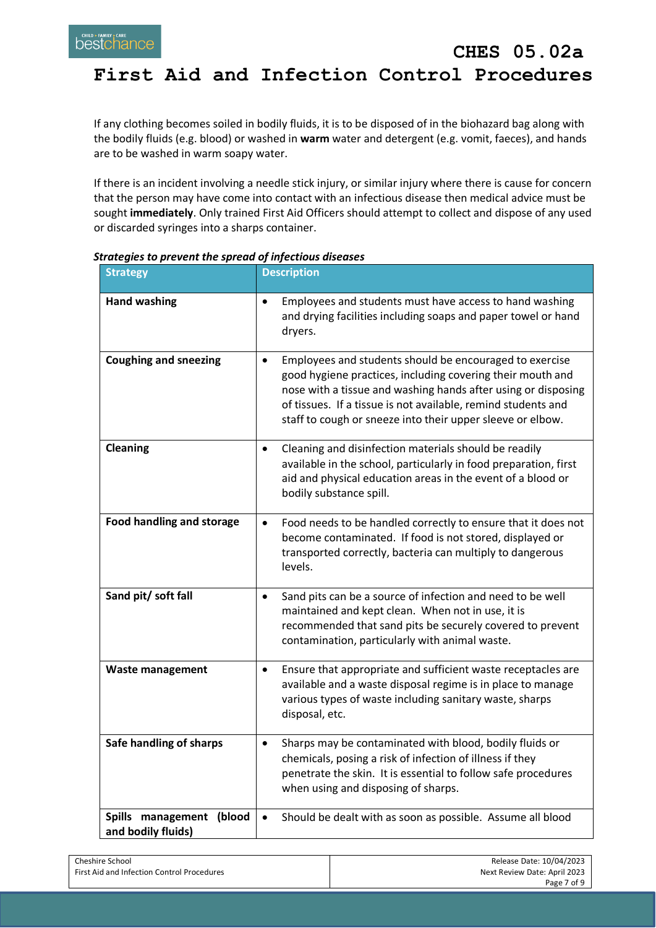## **CHES 05.02a First Aid and Infection Control Procedures**

If any clothing becomes soiled in bodily fluids, it is to be disposed of in the biohazard bag along with the bodily fluids (e.g. blood) or washed in **warm** water and detergent (e.g. vomit, faeces), and hands are to be washed in warm soapy water.

If there is an incident involving a needle stick injury, or similar injury where there is cause for concern that the person may have come into contact with an infectious disease then medical advice must be sought **immediately**. Only trained First Aid Officers should attempt to collect and dispose of any used or discarded syringes into a sharps container.

| <b>Strategy</b>                                | <b>Description</b>                                                                                                                                                                                                                                                                                                                 |
|------------------------------------------------|------------------------------------------------------------------------------------------------------------------------------------------------------------------------------------------------------------------------------------------------------------------------------------------------------------------------------------|
| <b>Hand washing</b>                            | Employees and students must have access to hand washing<br>$\bullet$<br>and drying facilities including soaps and paper towel or hand<br>dryers.                                                                                                                                                                                   |
| <b>Coughing and sneezing</b>                   | Employees and students should be encouraged to exercise<br>$\bullet$<br>good hygiene practices, including covering their mouth and<br>nose with a tissue and washing hands after using or disposing<br>of tissues. If a tissue is not available, remind students and<br>staff to cough or sneeze into their upper sleeve or elbow. |
| <b>Cleaning</b>                                | Cleaning and disinfection materials should be readily<br>$\bullet$<br>available in the school, particularly in food preparation, first<br>aid and physical education areas in the event of a blood or<br>bodily substance spill.                                                                                                   |
| <b>Food handling and storage</b>               | Food needs to be handled correctly to ensure that it does not<br>$\bullet$<br>become contaminated. If food is not stored, displayed or<br>transported correctly, bacteria can multiply to dangerous<br>levels.                                                                                                                     |
| Sand pit/ soft fall                            | Sand pits can be a source of infection and need to be well<br>$\bullet$<br>maintained and kept clean. When not in use, it is<br>recommended that sand pits be securely covered to prevent<br>contamination, particularly with animal waste.                                                                                        |
| <b>Waste management</b>                        | Ensure that appropriate and sufficient waste receptacles are<br>$\bullet$<br>available and a waste disposal regime is in place to manage<br>various types of waste including sanitary waste, sharps<br>disposal, etc.                                                                                                              |
| Safe handling of sharps                        | Sharps may be contaminated with blood, bodily fluids or<br>$\bullet$<br>chemicals, posing a risk of infection of illness if they<br>penetrate the skin. It is essential to follow safe procedures<br>when using and disposing of sharps.                                                                                           |
| Spills management (blood<br>and bodily fluids) | Should be dealt with as soon as possible. Assume all blood<br>$\bullet$                                                                                                                                                                                                                                                            |

*Strategies to prevent the spread of infectious diseases*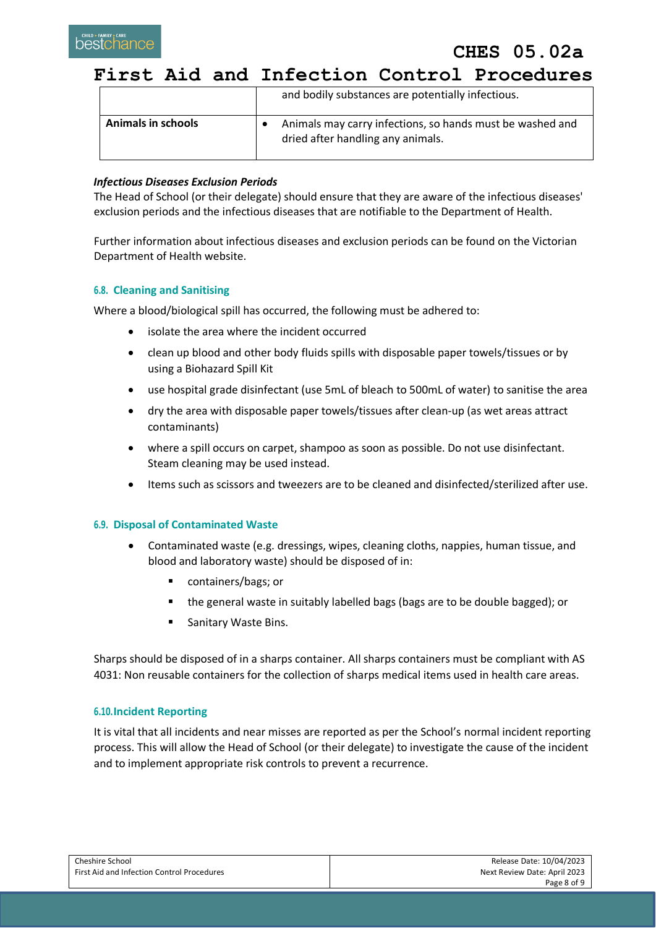**CHES 05.02a**

**First Aid and Infection Control Procedures**

|                           | and bodily substances are potentially infectious.                                              |
|---------------------------|------------------------------------------------------------------------------------------------|
| <b>Animals in schools</b> | Animals may carry infections, so hands must be washed and<br>dried after handling any animals. |

### *Infectious Diseases Exclusion Periods*

The Head of School (or their delegate) should ensure that they are aware of the infectious diseases' exclusion periods and the infectious diseases that are notifiable to the Department of Health.

Further information about infectious diseases and exclusion periods can be found on the Victorian Department of Health website.

### **6.8. Cleaning and Sanitising**

Where a blood/biological spill has occurred, the following must be adhered to:

- isolate the area where the incident occurred
- clean up blood and other body fluids spills with disposable paper towels/tissues or by using a Biohazard Spill Kit
- use hospital grade disinfectant (use 5mL of bleach to 500mL of water) to sanitise the area
- dry the area with disposable paper towels/tissues after clean-up (as wet areas attract contaminants)
- where a spill occurs on carpet, shampoo as soon as possible. Do not use disinfectant. Steam cleaning may be used instead.
- Items such as scissors and tweezers are to be cleaned and disinfected/sterilized after use.

### **6.9. Disposal of Contaminated Waste**

- Contaminated waste (e.g. dressings, wipes, cleaning cloths, nappies, human tissue, and blood and laboratory waste) should be disposed of in:
	- containers/bags; or
	- the general waste in suitably labelled bags (bags are to be double bagged); or
	- **Sanitary Waste Bins.**

Sharps should be disposed of in a sharps container. All sharps containers must be compliant with AS 4031: Non reusable containers for the collection of sharps medical items used in health care areas.

### **6.10.Incident Reporting**

It is vital that all incidents and near misses are reported as per the School's normal incident reporting process. This will allow the Head of School (or their delegate) to investigate the cause of the incident and to implement appropriate risk controls to prevent a recurrence.